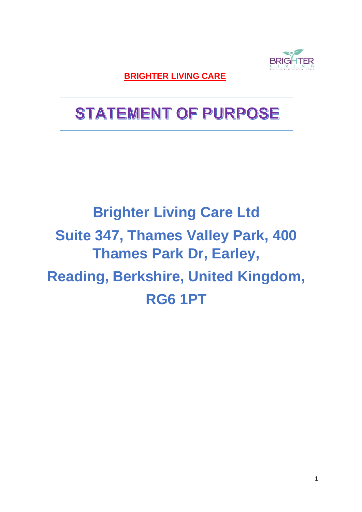

## **STATEMENT OF PURPOSE**

# **Brighter Living Care Ltd Suite 347, Thames Valley Park, 400 Thames Park Dr, Earley, Reading, Berkshire, United Kingdom, RG6 1PT**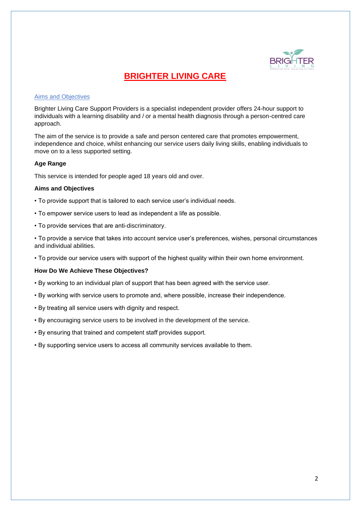

#### Aims and Objectives

Brighter Living Care Support Providers is a specialist independent provider offers 24-hour support to individuals with a learning disability and / or a mental health diagnosis through a person-centred care approach.

The aim of the service is to provide a safe and person centered care that promotes empowerment, independence and choice, whilst enhancing our service users daily living skills, enabling individuals to move on to a less supported setting.

#### **Age Range**

This service is intended for people aged 18 years old and over.

#### **Aims and Objectives**

- To provide support that is tailored to each service user's individual needs.
- To empower service users to lead as independent a life as possible.
- To provide services that are anti-discriminatory.

• To provide a service that takes into account service user's preferences, wishes, personal circumstances and individual abilities.

• To provide our service users with support of the highest quality within their own home environment.

#### **How Do We Achieve These Objectives?**

- By working to an individual plan of support that has been agreed with the service user.
- By working with service users to promote and, where possible, increase their independence.
- By treating all service users with dignity and respect.
- By encouraging service users to be involved in the development of the service.
- By ensuring that trained and competent staff provides support.
- By supporting service users to access all community services available to them.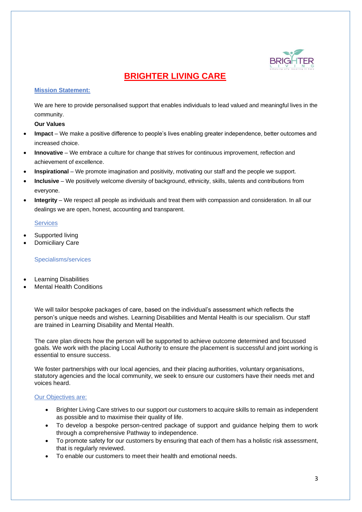

#### **Mission Statement:**

We are here to provide personalised support that enables individuals to lead valued and meaningful lives in the community.

#### **Our Values**

- **Impact** We make a positive difference to people's lives enabling greater independence, better outcomes and increased choice.
- **Innovative** We embrace a culture for change that strives for continuous improvement, reflection and achievement of excellence.
- **Inspirational** We promote imagination and positivity, motivating our staff and the people we support.
- **Inclusive** We positively welcome diversity of background, ethnicity, skills, talents and contributions from everyone.
- **Integrity** We respect all people as individuals and treat them with compassion and consideration. In all our dealings we are open, honest, accounting and transparent.

#### **Services**

- Supported living
- **Domiciliary Care**

#### Specialisms/services

- Learning Disabilities
- **Mental Health Conditions**

We will tailor bespoke packages of care, based on the individual's assessment which reflects the person's unique needs and wishes. Learning Disabilities and Mental Health is our specialism. Our staff are trained in Learning Disability and Mental Health.

The care plan directs how the person will be supported to achieve outcome determined and focussed goals. We work with the placing Local Authority to ensure the placement is successful and joint working is essential to ensure success.

We foster partnerships with our local agencies, and their placing authorities, voluntary organisations, statutory agencies and the local community, we seek to ensure our customers have their needs met and voices heard.

#### Our Objectives are:

- Brighter Living Care strives to our support our customers to acquire skills to remain as independent as possible and to maximise their quality of life.
- To develop a bespoke person-centred package of support and guidance helping them to work through a comprehensive Pathway to independence.
- To promote safety for our customers by ensuring that each of them has a holistic risk assessment, that is regularly reviewed.
- To enable our customers to meet their health and emotional needs.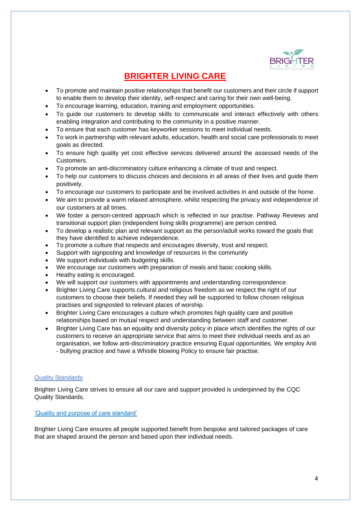

- To promote and maintain positive relationships that benefit our customers and their circle if support to enable them to develop their identity, self-respect and caring for their own well-being.
- To encourage learning, education, training and employment opportunities.
- To guide our customers to develop skills to communicate and interact effectively with others enabling integration and contributing to the community in a positive manner.
- To ensure that each customer has keyworker sessions to meet individual needs.
- To work in partnership with relevant adults, education, health and social care professionals to meet goals as directed.
- To ensure high quality yet cost effective services delivered around the assessed needs of the Customers.
- To promote an anti-discriminatory culture enhancing a climate of trust and respect.
- To help our customers to discuss choices and decisions in all areas of their lives and guide them positively.
- To encourage our customers to participate and be involved activities in and outside of the home.
- We aim to provide a warm relaxed atmosphere, whilst respecting the privacy and independence of our customers at all times.
- We foster a person-centred approach which is reflected in our practise. Pathway Reviews and transitional support plan (independent living skills programme) are person centred.
- To develop a realistic plan and relevant support as the person/adult works toward the goals that they have identified to achieve independence.
- To promote a culture that respects and encourages diversity, trust and respect.
- Support with signposting and knowledge of resources in the community
- We support individuals with budgeting skills.
- We encourage our customers with preparation of meals and basic cooking skills.
- Heathy eating is encouraged.
- We will support our customers with appointments and understanding correspondence.
- Brighter Living Care supports cultural and religious freedom as we respect the right of our customers to choose their beliefs. If needed they will be supported to follow chosen religious practises and signposted to relevant places of worship.
- Brighter Living Care encourages a culture which promotes high quality care and positive relationships based on mutual respect and understanding between staff and customer.
- Brighter Living Care has an equality and diversity policy in place which identifies the rights of our customers to receive an appropriate service that aims to meet their individual needs and as an organisation, we follow anti-discriminatory practice ensuring Equal opportunities. We employ Anti - bullying practice and have a Whistle blowing Policy to ensure fair practise.

#### Quality Standards

Brighter Living Care strives to ensure all our care and support provided is underpinned by the CQC Quality Standards.

#### 'Quality and purpose of care standard'

Brighter Living Care ensures all people supported benefit from bespoke and tailored packages of care that are shaped around the person and based upon their individual needs.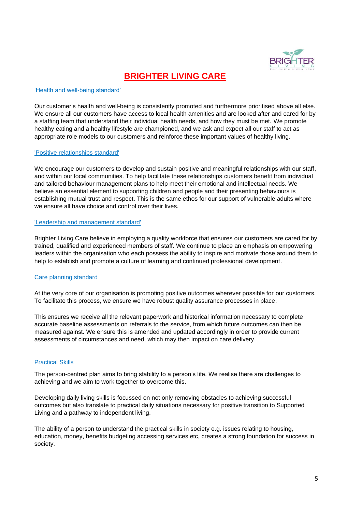

#### 'Health and well-being standard'

Our customer's health and well-being is consistently promoted and furthermore prioritised above all else. We ensure all our customers have access to local health amenities and are looked after and cared for by a staffing team that understand their individual health needs, and how they must be met. We promote healthy eating and a healthy lifestyle are championed, and we ask and expect all our staff to act as appropriate role models to our customers and reinforce these important values of healthy living.

#### 'Positive relationships standard'

We encourage our customers to develop and sustain positive and meaningful relationships with our staff, and within our local communities. To help facilitate these relationships customers benefit from individual and tailored behaviour management plans to help meet their emotional and intellectual needs. We believe an essential element to supporting children and people and their presenting behaviours is establishing mutual trust and respect. This is the same ethos for our support of vulnerable adults where we ensure all have choice and control over their lives.

#### 'Leadership and management standard'

Brighter Living Care believe in employing a quality workforce that ensures our customers are cared for by trained, qualified and experienced members of staff. We continue to place an emphasis on empowering leaders within the organisation who each possess the ability to inspire and motivate those around them to help to establish and promote a culture of learning and continued professional development.

#### Care planning standard

At the very core of our organisation is promoting positive outcomes wherever possible for our customers. To facilitate this process, we ensure we have robust quality assurance processes in place.

This ensures we receive all the relevant paperwork and historical information necessary to complete accurate baseline assessments on referrals to the service, from which future outcomes can then be measured against. We ensure this is amended and updated accordingly in order to provide current assessments of circumstances and need, which may then impact on care delivery.

#### Practical Skills

The person-centred plan aims to bring stability to a person's life. We realise there are challenges to achieving and we aim to work together to overcome this.

Developing daily living skills is focussed on not only removing obstacles to achieving successful outcomes but also translate to practical daily situations necessary for positive transition to Supported Living and a pathway to independent living.

The ability of a person to understand the practical skills in society e.g. issues relating to housing, education, money, benefits budgeting accessing services etc, creates a strong foundation for success in society.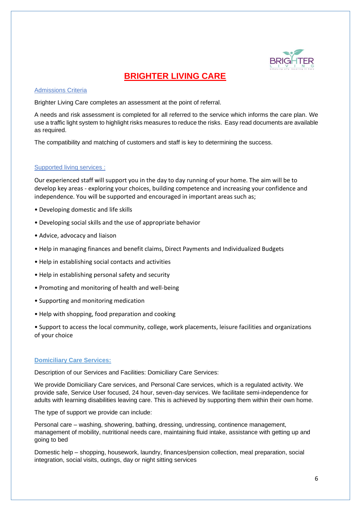

#### Admissions Criteria

Brighter Living Care completes an assessment at the point of referral.

A needs and risk assessment is completed for all referred to the service which informs the care plan. We use a traffic light system to highlight risks measures to reduce the risks. Easy read documents are available as required.

The compatibility and matching of customers and staff is key to determining the success.

#### Supported living services :

Our experienced staff will support you in the day to day running of your home. The aim will be to develop key areas - exploring your choices, building competence and increasing your confidence and independence. You will be supported and encouraged in important areas such as;

- Developing domestic and life skills
- Developing social skills and the use of appropriate behavior
- Advice, advocacy and liaison
- Help in managing finances and benefit claims, Direct Payments and Individualized Budgets
- Help in establishing social contacts and activities
- Help in establishing personal safety and security
- Promoting and monitoring of health and well-being
- Supporting and monitoring medication
- Help with shopping, food preparation and cooking

• Support to access the local community, college, work placements, leisure facilities and organizations of your choice

#### **Domiciliary Care Services:**

Description of our Services and Facilities: Domiciliary Care Services:

We provide Domiciliary Care services, and Personal Care services, which is a regulated activity. We provide safe, Service User focused, 24 hour, seven-day services. We facilitate semi-independence for adults with learning disabilities leaving care. This is achieved by supporting them within their own home.

The type of support we provide can include:

Personal care – washing, showering, bathing, dressing, undressing, continence management, management of mobility, nutritional needs care, maintaining fluid intake, assistance with getting up and going to bed

Domestic help – shopping, housework, laundry, finances/pension collection, meal preparation, social integration, social visits, outings, day or night sitting services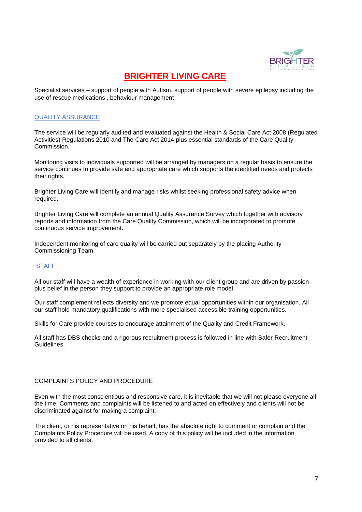

Specialist services – support of people with Autism, support of people with severe epilepsy including the use of rescue medications , behaviour management

#### QUALITY ASSURANCE

The service will be regularly audited and evaluated against the Health & Social Care Act 2008 (Regulated Activities) Regulations 2010 and The Care Act 2014 plus essential standards of the Care Quality Commission.

Monitoring visits to individuals supported will be arranged by managers on a regular basis to ensure the service continues to provide safe and appropriate care which supports the identified needs and protects their rights.

Brighter Living Care will identify and manage risks whilst seeking professional safety advice when required.

Brighter Living Care will complete an annual Quality Assurance Survey which together with advisory reports and information from the Care Quality Commission, which will be incorporated to promote continuous service improvement.

Independent monitoring of care quality will be carried out separately by the placing Authority Commissioning Team.

#### **STAFF**

All our staff will have a wealth of experience in working with our client group and are driven by passion plus belief in the person they support to provide an appropriate role model.

Our staff complement reflects diversity and we promote equal opportunities within our organisation. All our staff hold mandatory qualifications with more specialised accessible training opportunities.

Skills for Care provide courses to encourage attainment of the Quality and Credit Framework.

All staff has DBS checks and a rigorous recruitment process is followed in line with Safer Recruitment Guidelines.

#### COMPLAINTS POLICY AND PROCEDURE

Even with the most conscientious and responsive care, it is inevitable that we will not please everyone all the time. Comments and complaints will be listened to and acted on effectively and clients will not be discriminated against for making a complaint.

The client, or his representative on his behalf, has the absolute right to comment or complain and the Complaints Policy Procedure will be used. A copy of this policy will be included in the information provided to all clients.